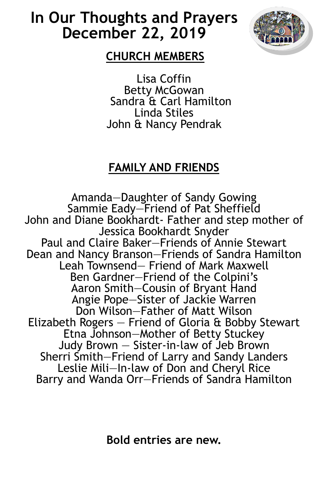# **In Our Thoughts and Prayers December 22, 2019**



# **CHURCH MEMBERS**

Lisa Coffin Betty McGowan Sandra & Carl Hamilton Linda Stiles John & Nancy Pendrak

# **FAMILY AND FRIENDS**

Amanda—Daughter of Sandy Gowing Sammie Eady-Friend of Pat Sheffield John and Diane Bookhardt- Father and step mother of Jessica Bookhardt Snyder Paul and Claire Baker—Friends of Annie Stewart Dean and Nancy Branson—Friends of Sandra Hamilton Leah Townsend— Friend of Mark Maxwell Ben Gardner—Friend of the Colpini's Aaron Smith—Cousin of Bryant Hand Angie Pope—Sister of Jackie Warren Don Wilson—Father of Matt Wilson Elizabeth Rogers — Friend of Gloria & Bobby Stewart Etna Johnson—Mother of Betty Stuckey Judy Brown — Sister-in-law of Jeb Brown Sherri Smith—Friend of Larry and Sandy Landers Leslie Mili—In-law of Don and Cheryl Rice Barry and Wanda Orr—Friends of Sandra Hamilton

**Bold entries are new.**